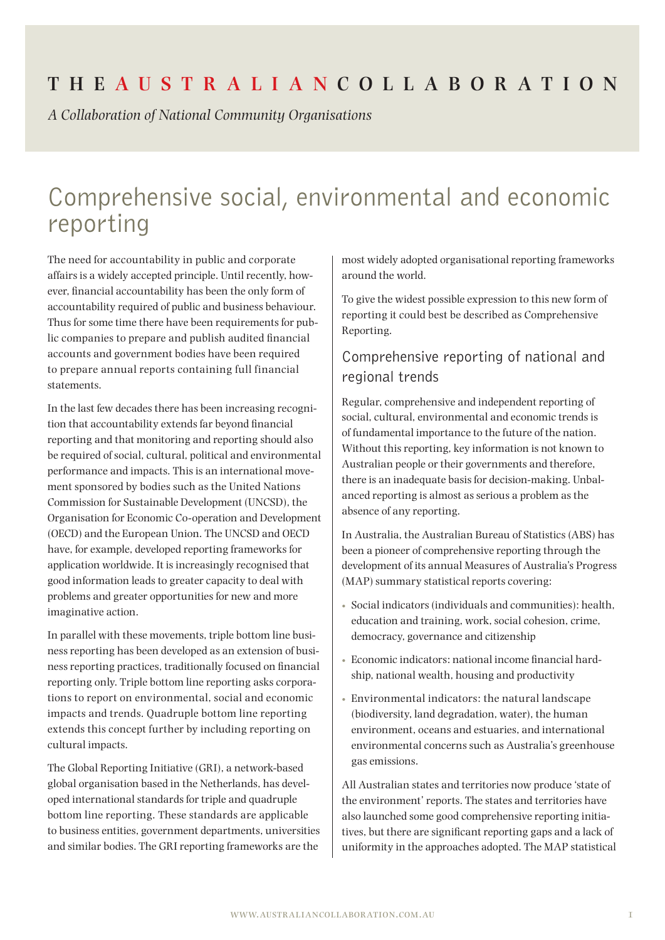# **The Aus t r a l i a n Coll a bor at ion**

*A Collaboration of National Community Organisations*

# Comprehensive social, environmental and economic reporting

The need for accountability in public and corporate affairs is a widely accepted principle. Until recently, however, financial accountability has been the only form of accountability required of public and business behaviour. Thus for some time there have been requirements for public companies to prepare and publish audited financial accounts and government bodies have been required to prepare annual reports containing full financial statements.

In the last few decades there has been increasing recognition that accountability extends far beyond financial reporting and that monitoring and reporting should also be required of social, cultural, political and environmental performance and impacts. This is an international movement sponsored by bodies such as the United Nations Commission for Sustainable Development (UNCSD), the Organisation for Economic Co-operation and Development (OECD) and the European Union. The UNCSD and OECD have, for example, developed reporting frameworks for application worldwide. It is increasingly recognised that good information leads to greater capacity to deal with problems and greater opportunities for new and more imaginative action.

In parallel with these movements, triple bottom line business reporting has been developed as an extension of business reporting practices, traditionally focused on financial reporting only. Triple bottom line reporting asks corporations to report on environmental, social and economic impacts and trends. Quadruple bottom line reporting extends this concept further by including reporting on cultural impacts.

The Global Reporting Initiative (GRI), a network-based global organisation based in the Netherlands, has developed international standards for triple and quadruple bottom line reporting. These standards are applicable to business entities, government departments, universities and similar bodies. The GRI reporting frameworks are the

most widely adopted organisational reporting frameworks around the world.

To give the widest possible expression to this new form of reporting it could best be described as Comprehensive Reporting.

## Comprehensive reporting of national and regional trends

Regular, comprehensive and independent reporting of social, cultural, environmental and economic trends is of fundamental importance to the future of the nation. Without this reporting, key information is not known to Australian people or their governments and therefore, there is an inadequate basis for decision-making. Unbalanced reporting is almost as serious a problem as the absence of any reporting.

In Australia, the Australian Bureau of Statistics (ABS) has been a pioneer of comprehensive reporting through the development of its annual Measures of Australia's Progress (MAP) summary statistical reports covering:

- Social indicators (individuals and communities): health, education and training, work, social cohesion, crime, democracy, governance and citizenship
- Economic indicators: national income financial hardship, national wealth, housing and productivity
- Environmental indicators: the natural landscape (biodiversity, land degradation, water), the human environment, oceans and estuaries, and international environmental concerns such as Australia's greenhouse gas emissions.

All Australian states and territories now produce 'state of the environment' reports. The states and territories have also launched some good comprehensive reporting initiatives, but there are significant reporting gaps and a lack of uniformity in the approaches adopted. The MAP statistical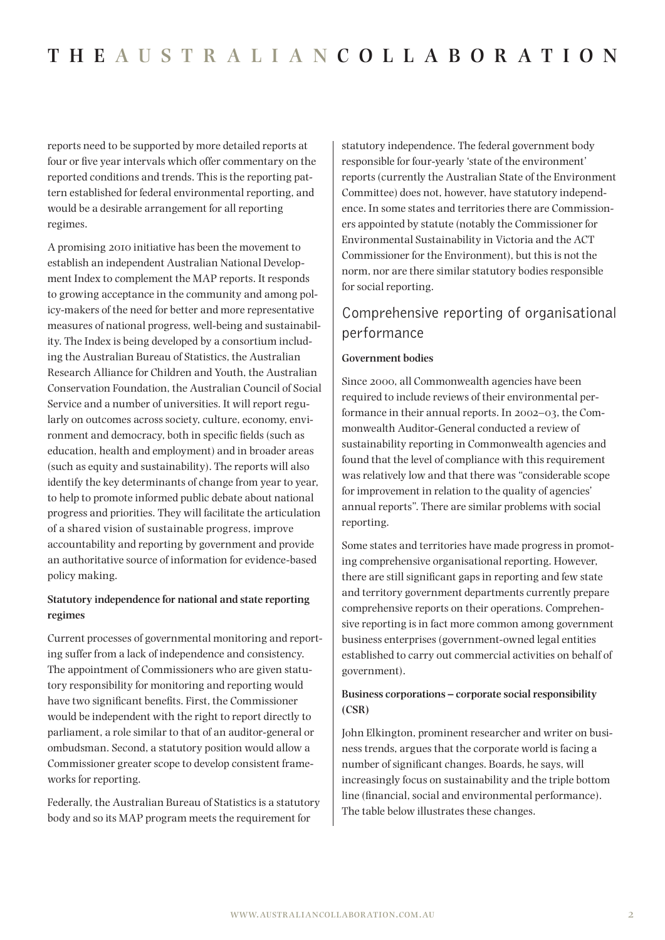reports need to be supported by more detailed reports at four or five year intervals which offer commentary on the reported conditions and trends. This is the reporting pattern established for federal environmental reporting, and would be a desirable arrangement for all reporting regimes.

A promising 2010 initiative has been the movement to establish an independent Australian National Development Index to complement the MAP reports. It responds to growing acceptance in the community and among policy-makers of the need for better and more representative measures of national progress, well-being and sustainability. The Index is being developed by a consortium including the Australian Bureau of Statistics, the Australian Research Alliance for Children and Youth, the Australian Conservation Foundation, the Australian Council of Social Service and a number of universities. It will report regularly on outcomes across society, culture, economy, environment and democracy, both in specific fields (such as education, health and employment) and in broader areas (such as equity and sustainability). The reports will also identify the key determinants of change from year to year, to help to promote informed public debate about national progress and priorities. They will facilitate the articulation of a shared vision of sustainable progress, improve accountability and reporting by government and provide an authoritative source of information for evidence-based policy making.

#### **Statutory independence for national and state reporting regimes**

Current processes of governmental monitoring and reporting suffer from a lack of independence and consistency. The appointment of Commissioners who are given statutory responsibility for monitoring and reporting would have two significant benefits. First, the Commissioner would be independent with the right to report directly to parliament, a role similar to that of an auditor-general or ombudsman. Second, a statutory position would allow a Commissioner greater scope to develop consistent frameworks for reporting.

Federally, the Australian Bureau of Statistics is a statutory body and so its MAP program meets the requirement for

statutory independence. The federal government body responsible for four-yearly 'state of the environment' reports (currently the Australian State of the Environment Committee) does not, however, have statutory independence. In some states and territories there are Commissioners appointed by statute (notably the Commissioner for Environmental Sustainability in Victoria and the ACT Commissioner for the Environment), but this is not the norm, nor are there similar statutory bodies responsible for social reporting.

## Comprehensive reporting of organisational performance

#### **Government bodies**

Since 2000, all Commonwealth agencies have been required to include reviews of their environmental performance in their annual reports. In 2002–03, the Commonwealth Auditor-General conducted a review of sustainability reporting in Commonwealth agencies and found that the level of compliance with this requirement was relatively low and that there was "considerable scope for improvement in relation to the quality of agencies' annual reports". There are similar problems with social reporting.

Some states and territories have made progress in promoting comprehensive organisational reporting. However, there are still significant gaps in reporting and few state and territory government departments currently prepare comprehensive reports on their operations. Comprehensive reporting is in fact more common among government business enterprises (government-owned legal entities established to carry out commercial activities on behalf of government).

#### **Business corporations – corporate social responsibility (CSR)**

John Elkington, prominent researcher and writer on business trends, argues that the corporate world is facing a number of significant changes. Boards, he says, will increasingly focus on sustainability and the triple bottom line (financial, social and environmental performance). The table below illustrates these changes.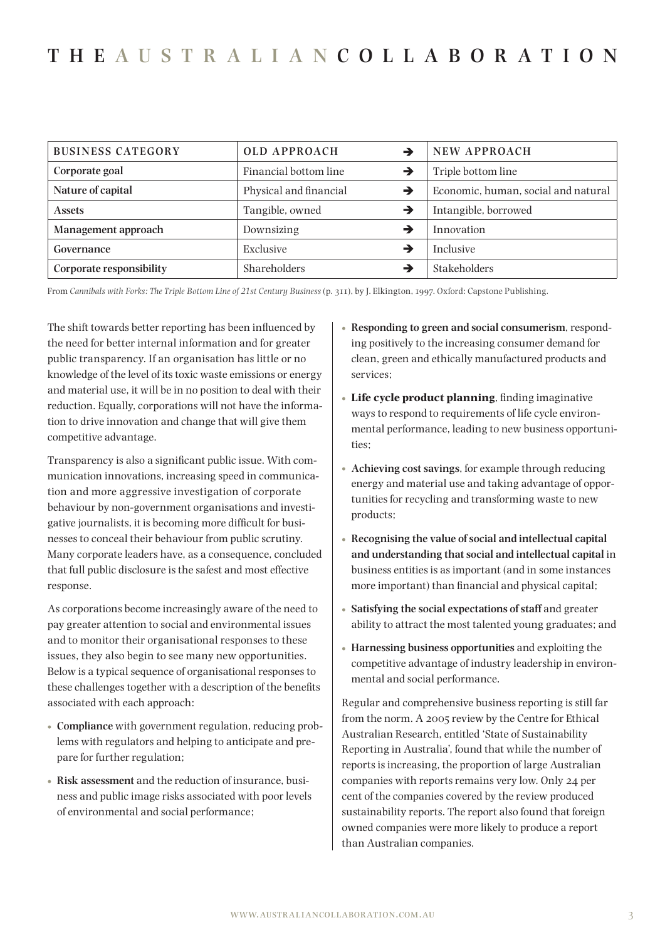# **The Aus t r a l i a n Coll a bor at ion**

| <b>BUSINESS CATEGORY</b> | <b>OLD APPROACH</b>         | <b>NEW APPROACH</b>                 |
|--------------------------|-----------------------------|-------------------------------------|
| Corporate goal           | Financial bottom line<br>→  | Triple bottom line                  |
| Nature of capital        | Physical and financial<br>→ | Economic, human, social and natural |
| <b>Assets</b>            | Tangible, owned<br>→        | Intangible, borrowed                |
| Management approach      | Downsizing                  | Innovation                          |
| Governance               | Exclusive                   | <b>Inclusive</b>                    |
| Corporate responsibility | Shareholders                | <b>Stakeholders</b>                 |

From *Cannibals with Forks: The Triple Bottom Line of 21st Century Business* (p. 311), by J. Elkington, 1997. Oxford: Capstone Publishing.

The shift towards better reporting has been influenced by the need for better internal information and for greater public transparency. If an organisation has little or no knowledge of the level of its toxic waste emissions or energy and material use, it will be in no position to deal with their reduction. Equally, corporations will not have the information to drive innovation and change that will give them competitive advantage.

Transparency is also a significant public issue. With communication innovations, increasing speed in communication and more aggressive investigation of corporate behaviour by non-government organisations and investigative journalists, it is becoming more difficult for businesses to conceal their behaviour from public scrutiny. Many corporate leaders have, as a consequence, concluded that full public disclosure is the safest and most effective response.

As corporations become increasingly aware of the need to pay greater attention to social and environmental issues and to monitor their organisational responses to these issues, they also begin to see many new opportunities. Below is a typical sequence of organisational responses to these challenges together with a description of the benefits associated with each approach:

- **• Compliance** with government regulation, reducing problems with regulators and helping to anticipate and prepare for further regulation;
- **• Risk assessment** and the reduction of insurance, business and public image risks associated with poor levels of environmental and social performance;
- **• Responding to green and social consumerism**, responding positively to the increasing consumer demand for clean, green and ethically manufactured products and services;
- **• Life cycle product planning**, finding imaginative ways to respond to requirements of life cycle environmental performance, leading to new business opportunities;
- **• Achieving cost savings**, for example through reducing energy and material use and taking advantage of opportunities for recycling and transforming waste to new products;
- **• Recognising the value of social and intellectual capital and understanding that social and intellectual capital** in business entities is as important (and in some instances more important) than financial and physical capital;
- **• Satisfying the social expectations of staff** and greater ability to attract the most talented young graduates; and
- **• Harnessing business opportunities** and exploiting the competitive advantage of industry leadership in environmental and social performance.

Regular and comprehensive business reporting is still far from the norm. A 2005 review by the Centre for Ethical Australian Research, entitled 'State of Sustainability Reporting in Australia', found that while the number of reports is increasing, the proportion of large Australian companies with reports remains very low. Only 24 per cent of the companies covered by the review produced sustainability reports. The report also found that foreign owned companies were more likely to produce a report than Australian companies.